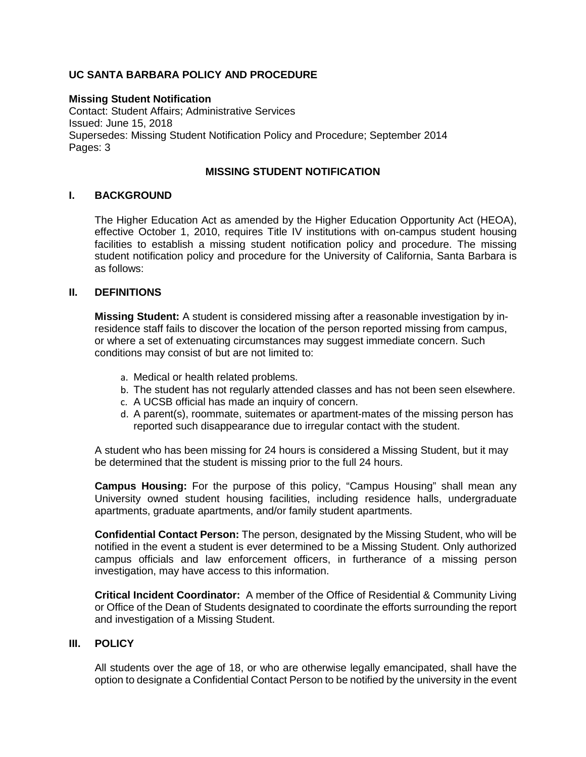# **UC SANTA BARBARA POLICY AND PROCEDURE**

**Missing Student Notification** Contact: Student Affairs; Administrative Services Issued: June 15, 2018 Supersedes: Missing Student Notification Policy and Procedure; September 2014 Pages: 3

## **MISSING STUDENT NOTIFICATION**

## **I. BACKGROUND**

The Higher Education Act as amended by the Higher Education Opportunity Act (HEOA), effective October 1, 2010, requires Title IV institutions with on-campus student housing facilities to establish a missing student notification policy and procedure. The missing student notification policy and procedure for the University of California, Santa Barbara is as follows:

## **II. DEFINITIONS**

**Missing Student:** A student is considered missing after a reasonable investigation by inresidence staff fails to discover the location of the person reported missing from campus, or where a set of extenuating circumstances may suggest immediate concern. Such conditions may consist of but are not limited to:

- a. Medical or health related problems.
- b. The student has not regularly attended classes and has not been seen elsewhere.
- c. A UCSB official has made an inquiry of concern.
- d. A parent(s), roommate, suitemates or apartment-mates of the missing person has reported such disappearance due to irregular contact with the student.

A student who has been missing for 24 hours is considered a Missing Student, but it may be determined that the student is missing prior to the full 24 hours.

**Campus Housing:** For the purpose of this policy, "Campus Housing" shall mean any University owned student housing facilities, including residence halls, undergraduate apartments, graduate apartments, and/or family student apartments.

**Confidential Contact Person:** The person, designated by the Missing Student, who will be notified in the event a student is ever determined to be a Missing Student. Only authorized campus officials and law enforcement officers, in furtherance of a missing person investigation, may have access to this information.

**Critical Incident Coordinator:** A member of the Office of Residential & Community Living or Office of the Dean of Students designated to coordinate the efforts surrounding the report and investigation of a Missing Student.

### **III. POLICY**

All students over the age of 18, or who are otherwise legally emancipated, shall have the option to designate a Confidential Contact Person to be notified by the university in the event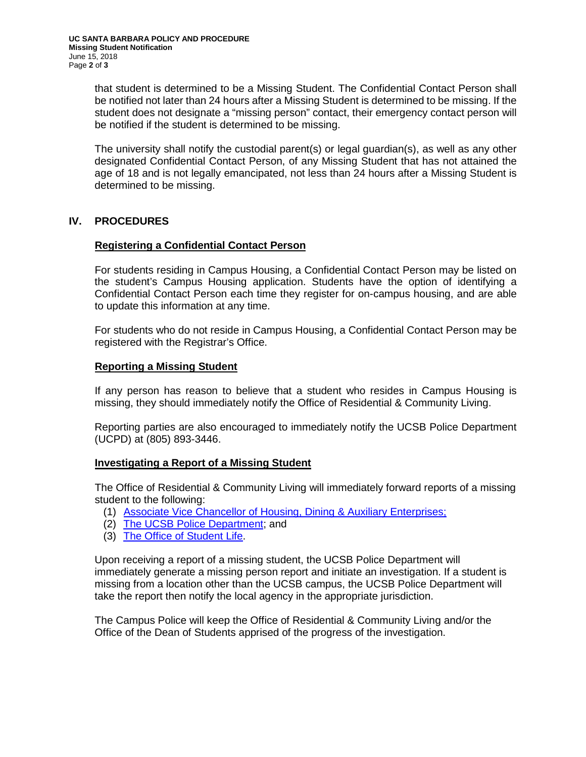that student is determined to be a Missing Student. The Confidential Contact Person shall be notified not later than 24 hours after a Missing Student is determined to be missing. If the student does not designate a "missing person" contact, their emergency contact person will be notified if the student is determined to be missing.

The university shall notify the custodial parent(s) or legal guardian(s), as well as any other designated Confidential Contact Person, of any Missing Student that has not attained the age of 18 and is not legally emancipated, not less than 24 hours after a Missing Student is determined to be missing.

# **IV. PROCEDURES**

### **Registering a Confidential Contact Person**

For students residing in Campus Housing, a Confidential Contact Person may be listed on the student's Campus Housing application. Students have the option of identifying a Confidential Contact Person each time they register for on-campus housing, and are able to update this information at any time.

For students who do not reside in Campus Housing, a Confidential Contact Person may be registered with the Registrar's Office.

## **Reporting a Missing Student**

If any person has reason to believe that a student who resides in Campus Housing is missing, they should immediately notify the Office of Residential & Community Living.

Reporting parties are also encouraged to immediately notify the UCSB Police Department (UCPD) at (805) 893-3446.

### **Investigating a Report of a Missing Student**

The Office of Residential & Community Living will immediately forward reports of a missing student to the following:

- (1) [Associate Vice Chancellor of Housing, Dining & Auxiliary Enterprises;](http://www.housing.ucsb.edu/contact-us)
- (2) The UCSB [Police Department;](http://www.police.ucsb.edu/contact-us) and
- (3) [The Office of Student](http://www.commserv.ucsb.edu/directories/departments/bluepages_department.asp?k=152662) Life.

Upon receiving a report of a missing student, the UCSB Police Department will immediately generate a missing person report and initiate an investigation. If a student is missing from a location other than the UCSB campus, the UCSB Police Department will take the report then notify the local agency in the appropriate jurisdiction.

The Campus Police will keep the Office of Residential & Community Living and/or the Office of the Dean of Students apprised of the progress of the investigation.